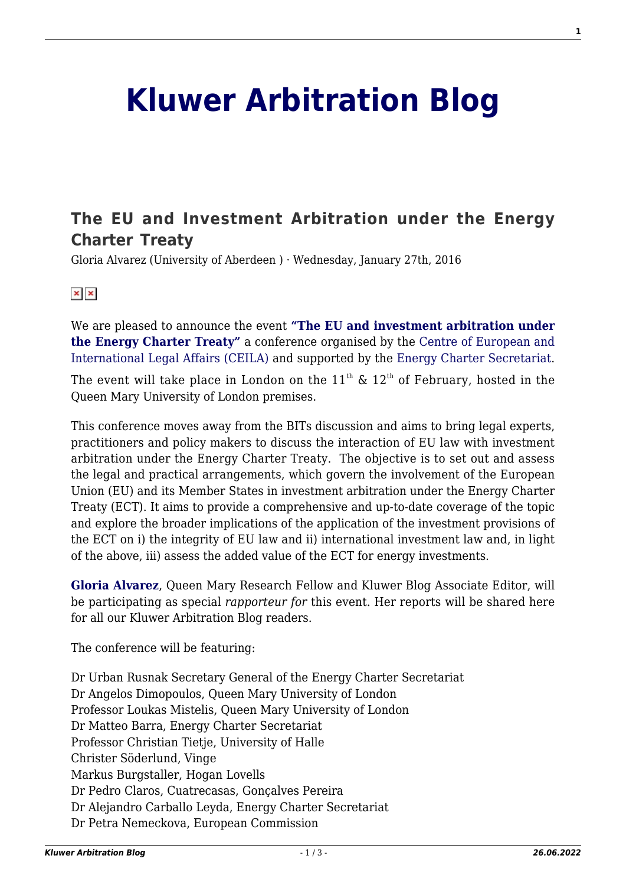## **[Kluwer Arbitration Blog](http://arbitrationblog.kluwerarbitration.com/)**

## **[The EU and Investment Arbitration under the Energy](http://arbitrationblog.kluwerarbitration.com/2016/01/27/the-eu-and-investment-arbitration-under-the-energy-charter-treaty/) [Charter Treaty](http://arbitrationblog.kluwerarbitration.com/2016/01/27/the-eu-and-investment-arbitration-under-the-energy-charter-treaty/)**

Gloria Alvarez (University of Aberdeen ) · Wednesday, January 27th, 2016

## $\times$   $\,$   $\times$

We are pleased to announce the event **["The EU and investment arbitration under](http://www.law.qmul.ac.uk/events/items/168149.html) [the Energy Charter Treaty"](http://www.law.qmul.ac.uk/events/items/168149.html)** a conference organised by the [Centre of European and](http://www.law.qmul.ac.uk/research/centres/european-international-legal-affairs/index.html) [International Legal Affairs \(CEILA\)](http://www.law.qmul.ac.uk/research/centres/european-international-legal-affairs/index.html) and supported by the [Energy Charter Secretariat](http://www.energycharter.org/).

The event will take place in London on the  $11<sup>th</sup>$  &  $12<sup>th</sup>$  of February, hosted in the Queen Mary University of London premises.

This conference moves away from the BITs discussion and aims to bring legal experts, practitioners and policy makers to discuss the interaction of EU law with investment arbitration under the Energy Charter Treaty. The objective is to set out and assess the legal and practical arrangements, which govern the involvement of the European Union (EU) and its Member States in investment arbitration under the Energy Charter Treaty (ECT). It aims to provide a comprehensive and up-to-date coverage of the topic and explore the broader implications of the application of the investment provisions of the ECT on i) the integrity of EU law and ii) international investment law and, in light of the above, iii) assess the added value of the ECT for energy investments.

**[Gloria Alvarez](http://kluwerarbitrationblog.com/author/gloriaalvarez/)**, Queen Mary Research Fellow and Kluwer Blog Associate Editor, will be participating as special *rapporteur for* this event. Her reports will be shared here for all our Kluwer Arbitration Blog readers.

The conference will be featuring:

Dr Urban Rusnak Secretary General of the Energy Charter Secretariat Dr Angelos Dimopoulos, Queen Mary University of London Professor Loukas Mistelis, Queen Mary University of London Dr Matteo Barra, Energy Charter Secretariat Professor Christian Tietie, University of Halle Christer Söderlund, Vinge Markus Burgstaller, Hogan Lovells Dr Pedro Claros, Cuatrecasas, Gonçalves Pereira Dr Alejandro Carballo Leyda, Energy Charter Secretariat Dr Petra Nemeckova, European Commission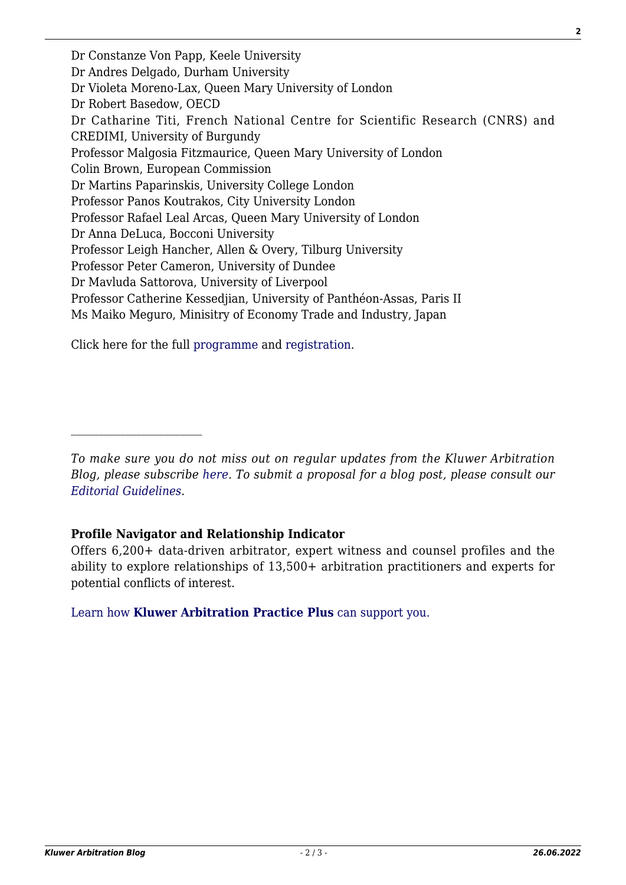Dr Constanze Von Papp, Keele University Dr Andres Delgado, Durham University Dr Violeta Moreno-Lax, Queen Mary University of London Dr Robert Basedow, OECD Dr Catharine Titi, French National Centre for Scientific Research (CNRS) and CREDIMI, University of Burgundy Professor Malgosia Fitzmaurice, Queen Mary University of London Colin Brown, European Commission Dr Martins Paparinskis, University College London Professor Panos Koutrakos, City University London Professor Rafael Leal Arcas, Queen Mary University of London Dr Anna DeLuca, Bocconi University Professor Leigh Hancher, Allen & Overy, Tilburg University Professor Peter Cameron, University of Dundee Dr Mavluda Sattorova, University of Liverpool Professor Catherine Kessedjian, University of Panthéon-Assas, Paris II Ms Maiko Meguro, Minisitry of Economy Trade and Industry, Japan

Click here for the full [programme](http://www.law.qmul.ac.uk/docs/events/169788.pdf) and [registration.](http://www.law.qmul.ac.uk/events/items/168149.html)

*To make sure you do not miss out on regular updates from the Kluwer Arbitration Blog, please subscribe [here](http://arbitrationblog.kluwerarbitration.com/newsletter/). To submit a proposal for a blog post, please consult our [Editorial Guidelines.](http://arbitrationblog.kluwerarbitration.com/editorial-guidelines/)*

## **Profile Navigator and Relationship Indicator**

 $\mathcal{L}_\text{max}$ 

Offers 6,200+ data-driven arbitrator, expert witness and counsel profiles and the ability to explore relationships of 13,500+ arbitration practitioners and experts for potential conflicts of interest.

[Learn how](https://www.wolterskluwer.com/en/solutions/kluwerarbitration/practiceplus?utm_source=arbitrationblog&utm_medium=articleCTA&utm_campaign=article-banner) **[Kluwer Arbitration Practice Plus](https://www.wolterskluwer.com/en/solutions/kluwerarbitration/practiceplus?utm_source=arbitrationblog&utm_medium=articleCTA&utm_campaign=article-banner)** [can support you.](https://www.wolterskluwer.com/en/solutions/kluwerarbitration/practiceplus?utm_source=arbitrationblog&utm_medium=articleCTA&utm_campaign=article-banner)